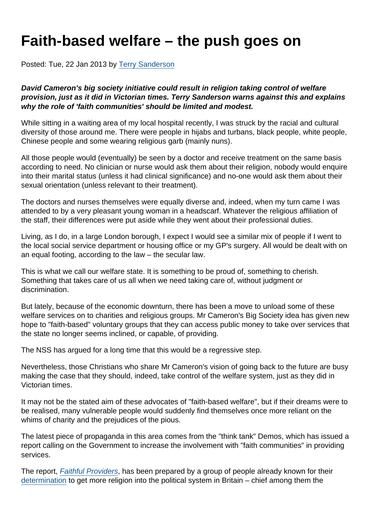## Faith-based welfare – the push goes on

Posted: Tue, 22 Jan 2013 by [Terry Sanderson](https://www.secularism.org.uk/opinion/authors/850)

David Cameron's big society initiative could result in religion taking control of welfare provision, just as it did in Victorian times. Terry Sanderson warns against this and explains why the role of 'faith communities' should be limited and modest.

While sitting in a waiting area of my local hospital recently, I was struck by the racial and cultural diversity of those around me. There were people in hijabs and turbans, black people, white people, Chinese people and some wearing religious garb (mainly nuns).

All those people would (eventually) be seen by a doctor and receive treatment on the same basis according to need. No clinician or nurse would ask them about their religion, nobody would enquire into their marital status (unless it had clinical significance) and no-one would ask them about their sexual orientation (unless relevant to their treatment).

The doctors and nurses themselves were equally diverse and, indeed, when my turn came I was attended to by a very pleasant young woman in a headscarf. Whatever the religious affiliation of the staff, their differences were put aside while they went about their professional duties.

Living, as I do, in a large London borough, I expect I would see a similar mix of people if I went to the local social service department or housing office or my GP's surgery. All would be dealt with on an equal footing, according to the law – the secular law.

This is what we call our welfare state. It is something to be proud of, something to cherish. Something that takes care of us all when we need taking care of, without judgment or discrimination.

But lately, because of the economic downturn, there has been a move to unload some of these welfare services on to charities and religious groups. Mr Cameron's Big Society idea has given new hope to "faith-based" voluntary groups that they can access public money to take over services that the state no longer seems inclined, or capable, of providing.

The NSS has argued for a long time that this would be a regressive step.

Nevertheless, those Christians who share Mr Cameron's vision of going back to the future are busy making the case that they should, indeed, take control of the welfare system, just as they did in Victorian times.

It may not be the stated aim of these advocates of "faith-based welfare", but if their dreams were to be realised, many vulnerable people would suddenly find themselves once more reliant on the whims of charity and the prejudices of the pious.

The latest piece of propaganda in this area comes from the "think tank" Demos, which has issued a report calling on the Government to increase the involvement with "faith communities" in providing services.

The report, [Faithful Providers](http://www.demos.co.uk/publications/faithfulproviders), has been prepared by a group of people already known for their [determination](http://www.guardian.co.uk/commentisfree/belief/2010/sep/29/labour-engage-religious-faith) to get more religion into the political system in Britain – chief among them the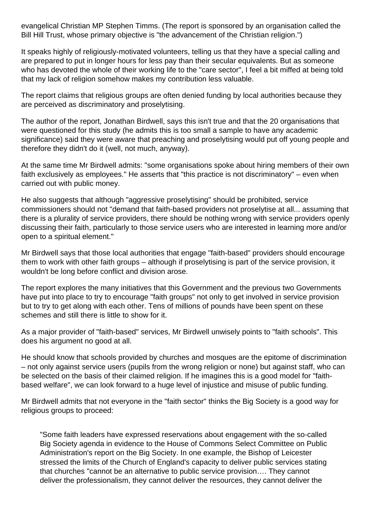evangelical Christian MP Stephen Timms. (The report is sponsored by an organisation called the Bill Hill Trust, whose primary objective is "the advancement of the Christian religion.")

It speaks highly of religiously-motivated volunteers, telling us that they have a special calling and are prepared to put in longer hours for less pay than their secular equivalents. But as someone who has devoted the whole of their working life to the "care sector", I feel a bit miffed at being told that my lack of religion somehow makes my contribution less valuable.

The report claims that religious groups are often denied funding by local authorities because they are perceived as discriminatory and proselytising.

The author of the report, Jonathan Birdwell, says this isn't true and that the 20 organisations that were questioned for this study (he admits this is too small a sample to have any academic significance) said they were aware that preaching and proselytising would put off young people and therefore they didn't do it (well, not much, anyway).

At the same time Mr Birdwell admits: "some organisations spoke about hiring members of their own faith exclusively as employees." He asserts that "this practice is not discriminatory" – even when carried out with public money.

He also suggests that although "aggressive proselytising" should be prohibited, service commissioners should not "demand that faith-based providers not proselytise at all... assuming that there is a plurality of service providers, there should be nothing wrong with service providers openly discussing their faith, particularly to those service users who are interested in learning more and/or open to a spiritual element."

Mr Birdwell says that those local authorities that engage "faith-based" providers should encourage them to work with other faith groups – although if proselytising is part of the service provision, it wouldn't be long before conflict and division arose.

The report explores the many initiatives that this Government and the previous two Governments have put into place to try to encourage "faith groups" not only to get involved in service provision but to try to get along with each other. Tens of millions of pounds have been spent on these schemes and still there is little to show for it.

As a major provider of "faith-based" services, Mr Birdwell unwisely points to "faith schools". This does his argument no good at all.

He should know that schools provided by churches and mosques are the epitome of discrimination – not only against service users (pupils from the wrong religion or none) but against staff, who can be selected on the basis of their claimed religion. If he imagines this is a good model for "faithbased welfare", we can look forward to a huge level of injustice and misuse of public funding.

Mr Birdwell admits that not everyone in the "faith sector" thinks the Big Society is a good way for religious groups to proceed:

"Some faith leaders have expressed reservations about engagement with the so-called Big Society agenda in evidence to the House of Commons Select Committee on Public Administration's report on the Big Society. In one example, the Bishop of Leicester stressed the limits of the Church of England's capacity to deliver public services stating that churches "cannot be an alternative to public service provision…. They cannot deliver the professionalism, they cannot deliver the resources, they cannot deliver the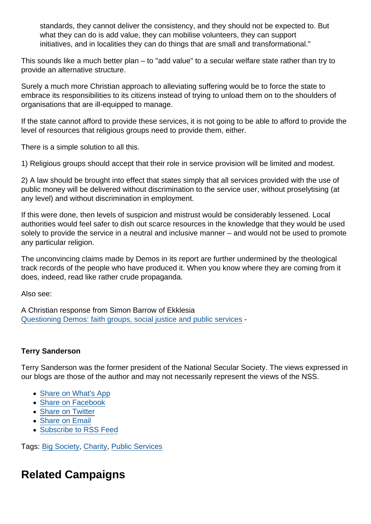standards, they cannot deliver the consistency, and they should not be expected to. But what they can do is add value, they can mobilise volunteers, they can support initiatives, and in localities they can do things that are small and transformational."

This sounds like a much better plan – to "add value" to a secular welfare state rather than try to provide an alternative structure.

Surely a much more Christian approach to alleviating suffering would be to force the state to embrace its responsibilities to its citizens instead of trying to unload them on to the shoulders of organisations that are ill-equipped to manage.

If the state cannot afford to provide these services, it is not going to be able to afford to provide the level of resources that religious groups need to provide them, either.

There is a simple solution to all this.

1) Religious groups should accept that their role in service provision will be limited and modest.

2) A law should be brought into effect that states simply that all services provided with the use of public money will be delivered without discrimination to the service user, without proselytising (at any level) and without discrimination in employment.

If this were done, then levels of suspicion and mistrust would be considerably lessened. Local authorities would feel safer to dish out scarce resources in the knowledge that they would be used solely to provide the service in a neutral and inclusive manner – and would not be used to promote any particular religion.

The unconvincing claims made by Demos in its report are further undermined by the theological track records of the people who have produced it. When you know where they are coming from it does, indeed, read like rather crude propaganda.

Also see:

A Christian response from Simon Barrow of Ekklesia [Questioning Demos: faith groups, social justice and public services](http://www.ekklesia.co.uk/node/17846) -

## Terry Sanderson

Terry Sanderson was the former president of the National Secular Society. The views expressed in our blogs are those of the author and may not necessarily represent the views of the NSS.

- [Share on What's App](whatsapp://send?text=http://www.secularism.org.uk/opinion/2013/01/faith-based-welfare-the-push-goes-on?format=pdf)
- [Share on Facebook](https://www.facebook.com/sharer/sharer.php?u=http://www.secularism.org.uk/opinion/2013/01/faith-based-welfare-the-push-goes-on?format=pdf&t=Faith-based+welfare+–+the+push+goes+on)
- [Share on Twitter](https://twitter.com/intent/tweet?url=http://www.secularism.org.uk/opinion/2013/01/faith-based-welfare-the-push-goes-on?format=pdf&text=Faith-based+welfare+–+the+push+goes+on&via=NatSecSoc)
- [Share on Email](https://www.secularism.org.uk/share.html?url=http://www.secularism.org.uk/opinion/2013/01/faith-based-welfare-the-push-goes-on?format=pdf&title=Faith-based+welfare+–+the+push+goes+on)
- [Subscribe to RSS Feed](/mnt/web-data/www/cp-nss/feeds/rss/news)

Tags: [Big Society](https://www.secularism.org.uk/opinion/tags/Big+Society), [Charity](https://www.secularism.org.uk/opinion/tags/Charity), [Public Services](https://www.secularism.org.uk/opinion/tags/Public+Services)

## Related Campaigns